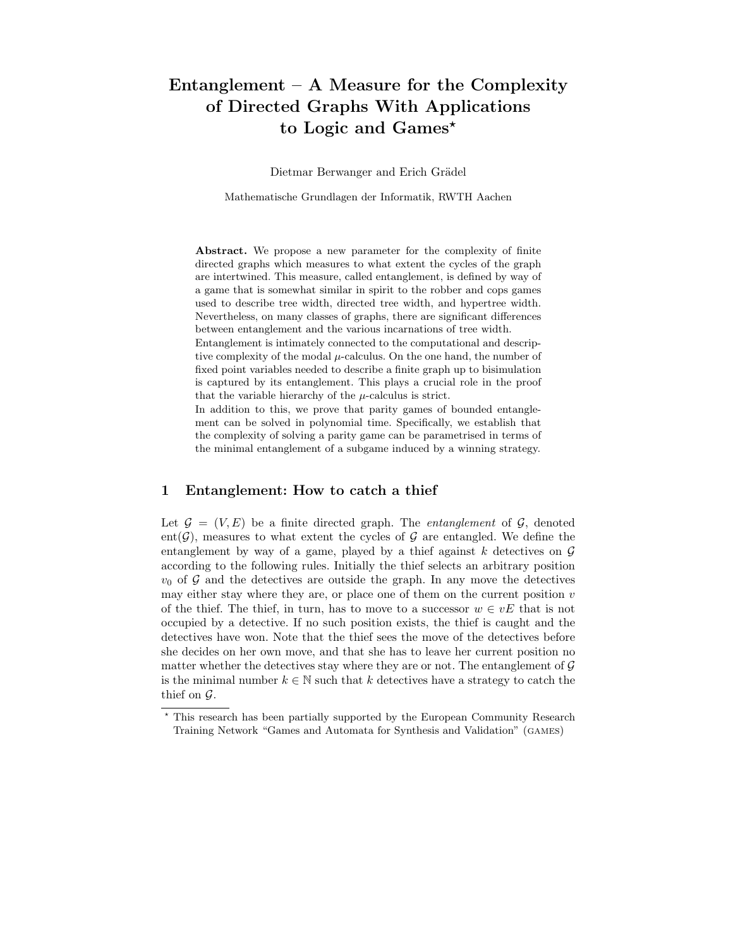# Entanglement – A Measure for the Complexity of Directed Graphs With Applications to Logic and Games\*

Dietmar Berwanger and Erich Grädel

Mathematische Grundlagen der Informatik, RWTH Aachen

Abstract. We propose a new parameter for the complexity of finite directed graphs which measures to what extent the cycles of the graph are intertwined. This measure, called entanglement, is defined by way of a game that is somewhat similar in spirit to the robber and cops games used to describe tree width, directed tree width, and hypertree width. Nevertheless, on many classes of graphs, there are significant differences between entanglement and the various incarnations of tree width.

Entanglement is intimately connected to the computational and descriptive complexity of the modal  $\mu$ -calculus. On the one hand, the number of fixed point variables needed to describe a finite graph up to bisimulation is captured by its entanglement. This plays a crucial role in the proof that the variable hierarchy of the  $\mu$ -calculus is strict.

In addition to this, we prove that parity games of bounded entanglement can be solved in polynomial time. Specifically, we establish that the complexity of solving a parity game can be parametrised in terms of the minimal entanglement of a subgame induced by a winning strategy.

# 1 Entanglement: How to catch a thief

Let  $\mathcal{G} = (V, E)$  be a finite directed graph. The *entanglement* of  $\mathcal{G}$ , denoted  $ent(G)$ , measures to what extent the cycles of G are entangled. We define the entanglement by way of a game, played by a thief against  $k$  detectives on  $\mathcal G$ according to the following rules. Initially the thief selects an arbitrary position  $v_0$  of G and the detectives are outside the graph. In any move the detectives may either stay where they are, or place one of them on the current position  $v$ of the thief. The thief, in turn, has to move to a successor  $w \in vE$  that is not occupied by a detective. If no such position exists, the thief is caught and the detectives have won. Note that the thief sees the move of the detectives before she decides on her own move, and that she has to leave her current position no matter whether the detectives stay where they are or not. The entanglement of  $\mathcal G$ is the minimal number  $k \in \mathbb{N}$  such that k detectives have a strategy to catch the thief on  $\mathcal{G}$ .

<sup>⋆</sup> This research has been partially supported by the European Community Research Training Network "Games and Automata for Synthesis and Validation" (games)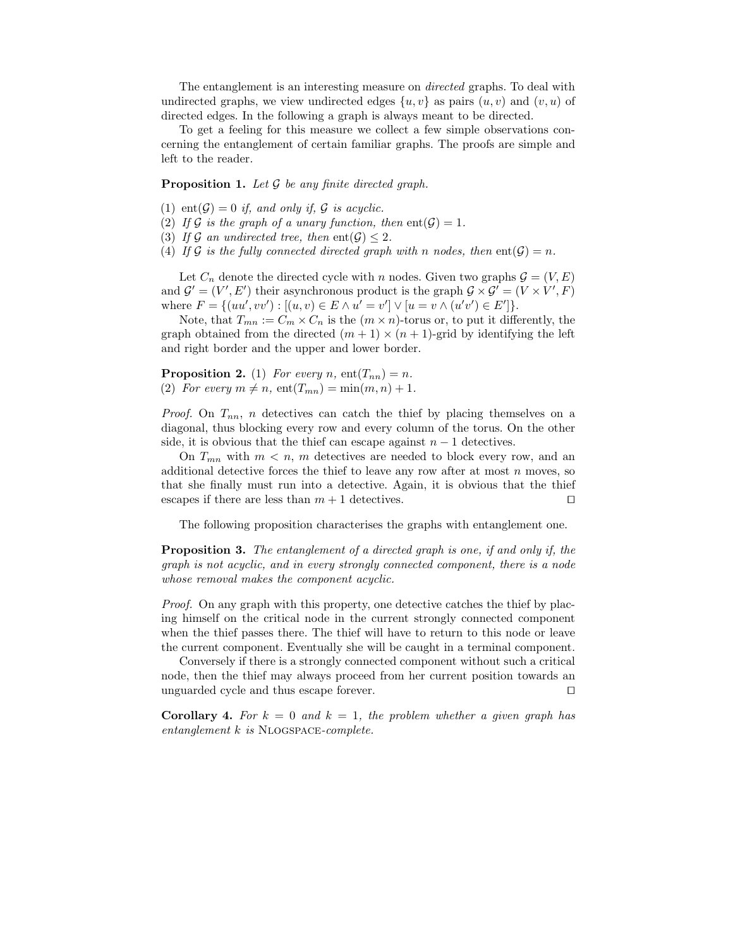The entanglement is an interesting measure on directed graphs. To deal with undirected graphs, we view undirected edges  $\{u, v\}$  as pairs  $(u, v)$  and  $(v, u)$  of directed edges. In the following a graph is always meant to be directed.

To get a feeling for this measure we collect a few simple observations concerning the entanglement of certain familiar graphs. The proofs are simple and left to the reader.

**Proposition 1.** Let  $\mathcal G$  be any finite directed graph.

- (1) ent $(G) = 0$  if, and only if, G is acyclic.
- (2) If G is the graph of a unary function, then  $ent(G) = 1$ .
- (3) If G an undirected tree, then ent $(G) \leq 2$ .
- (4) If G is the fully connected directed graph with n nodes, then  $ent(G) = n$ .

Let  $C_n$  denote the directed cycle with n nodes. Given two graphs  $\mathcal{G} = (V, E)$ and  $\mathcal{G}' = (V', E')$  their asynchronous product is the graph  $\mathcal{G} \times \mathcal{G}' = (V \times V', F)$ where  $F = \{(uu', vv') : [(u, v) \in E \land u' = v'] \lor [u = v \land (u'v') \in E']\}.$ 

Note, that  $T_{mn} := C_m \times C_n$  is the  $(m \times n)$ -torus or, to put it differently, the graph obtained from the directed  $(m + 1) \times (n + 1)$ -grid by identifying the left and right border and the upper and lower border.

**Proposition 2.** (1) For every n,  $ent(T_{nn}) = n$ . (2) For every  $m \neq n$ ,  $ent(T_{mn}) = min(m, n) + 1$ .

*Proof.* On  $T_{nn}$ , n detectives can catch the thief by placing themselves on a diagonal, thus blocking every row and every column of the torus. On the other side, it is obvious that the thief can escape against  $n - 1$  detectives.

On  $T_{mn}$  with  $m < n$ , m detectives are needed to block every row, and an additional detective forces the thief to leave any row after at most  $n$  moves, so that she finally must run into a detective. Again, it is obvious that the thief escapes if there are less than  $m + 1$  detectives. □

The following proposition characterises the graphs with entanglement one.

Proposition 3. The entanglement of a directed graph is one, if and only if, the graph is not acyclic, and in every strongly connected component, there is a node whose removal makes the component acyclic.

Proof. On any graph with this property, one detective catches the thief by placing himself on the critical node in the current strongly connected component when the thief passes there. The thief will have to return to this node or leave the current component. Eventually she will be caught in a terminal component.

Conversely if there is a strongly connected component without such a critical node, then the thief may always proceed from her current position towards an unguarded cycle and thus escape forever. ⊓⊔

**Corollary 4.** For  $k = 0$  and  $k = 1$ , the problem whether a given graph has  $entanglement k is NLOGSPACE-complete.$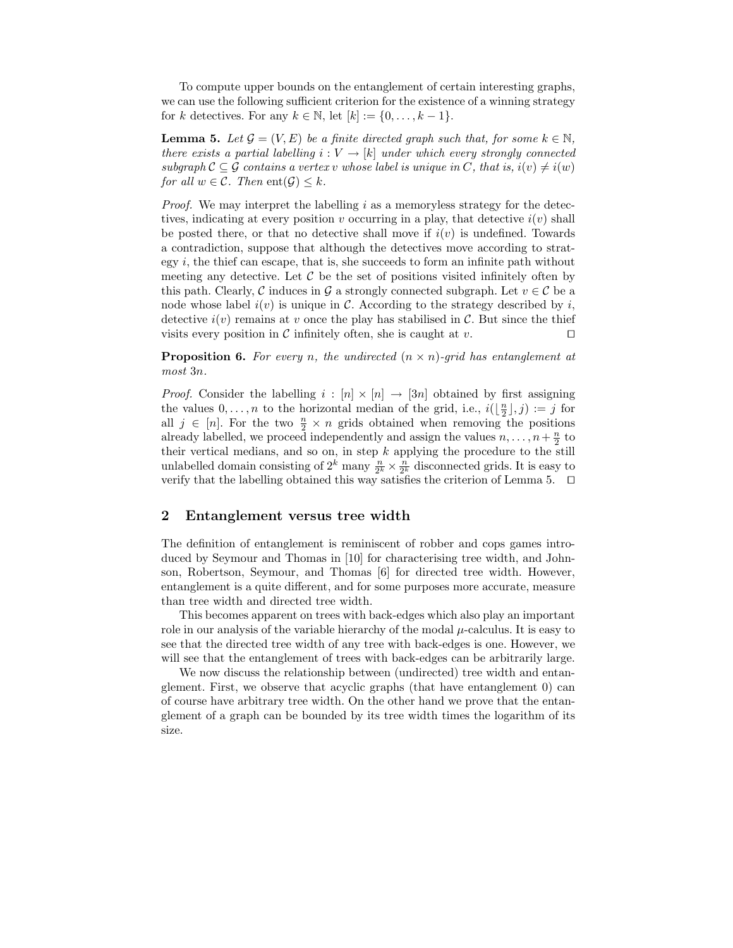To compute upper bounds on the entanglement of certain interesting graphs, we can use the following sufficient criterion for the existence of a winning strategy for k detectives. For any  $k \in \mathbb{N}$ , let  $[k] := \{0, \ldots, k-1\}.$ 

**Lemma 5.** Let  $\mathcal{G} = (V, E)$  be a finite directed graph such that, for some  $k \in \mathbb{N}$ , there exists a partial labelling  $i: V \to [k]$  under which every strongly connected subgraph  $C \subseteq G$  contains a vertex v whose label is unique in C, that is,  $i(v) \neq i(w)$ for all  $w \in \mathcal{C}$ . Then  $ent(\mathcal{G}) \leq k$ .

*Proof.* We may interpret the labelling  $i$  as a memoryless strategy for the detectives, indicating at every position v occurring in a play, that detective  $i(v)$  shall be posted there, or that no detective shall move if  $i(v)$  is undefined. Towards a contradiction, suppose that although the detectives move according to strat $egy i$ , the thief can escape, that is, she succeeds to form an infinite path without meeting any detective. Let  $C$  be the set of positions visited infinitely often by this path. Clearly, C induces in G a strongly connected subgraph. Let  $v \in C$  be a node whose label  $i(v)$  is unique in C. According to the strategy described by i, detective  $i(v)$  remains at v once the play has stabilised in C. But since the thief visits every position in  $\mathcal C$  infinitely often, she is caught at v.  $\Box$ 

**Proposition 6.** For every n, the undirected  $(n \times n)$ -grid has entanglement at most 3n.

*Proof.* Consider the labelling  $i : [n] \times [n] \rightarrow [3n]$  obtained by first assigning the values  $0, \ldots, n$  to the horizontal median of the grid, i.e.,  $i(\lfloor \frac{n}{2} \rfloor, j) := j$  for all  $j \in [n]$ . For the two  $\frac{n}{2} \times n$  grids obtained when removing the positions already labelled, we proceed independently and assign the values  $n, \ldots, n+\frac{n}{2}$  to their vertical medians, and so on, in step  $k$  applying the procedure to the still unlabelled domain consisting of  $2^k$  many  $\frac{n}{2^k} \times \frac{n}{2^k}$  disconnected grids. It is easy to verify that the labelling obtained this way satisfies the criterion of Lemma 5. ⊓⊔

# 2 Entanglement versus tree width

The definition of entanglement is reminiscent of robber and cops games introduced by Seymour and Thomas in [10] for characterising tree width, and Johnson, Robertson, Seymour, and Thomas [6] for directed tree width. However, entanglement is a quite different, and for some purposes more accurate, measure than tree width and directed tree width.

This becomes apparent on trees with back-edges which also play an important role in our analysis of the variable hierarchy of the modal  $\mu$ -calculus. It is easy to see that the directed tree width of any tree with back-edges is one. However, we will see that the entanglement of trees with back-edges can be arbitrarily large.

We now discuss the relationship between (undirected) tree width and entanglement. First, we observe that acyclic graphs (that have entanglement 0) can of course have arbitrary tree width. On the other hand we prove that the entanglement of a graph can be bounded by its tree width times the logarithm of its size.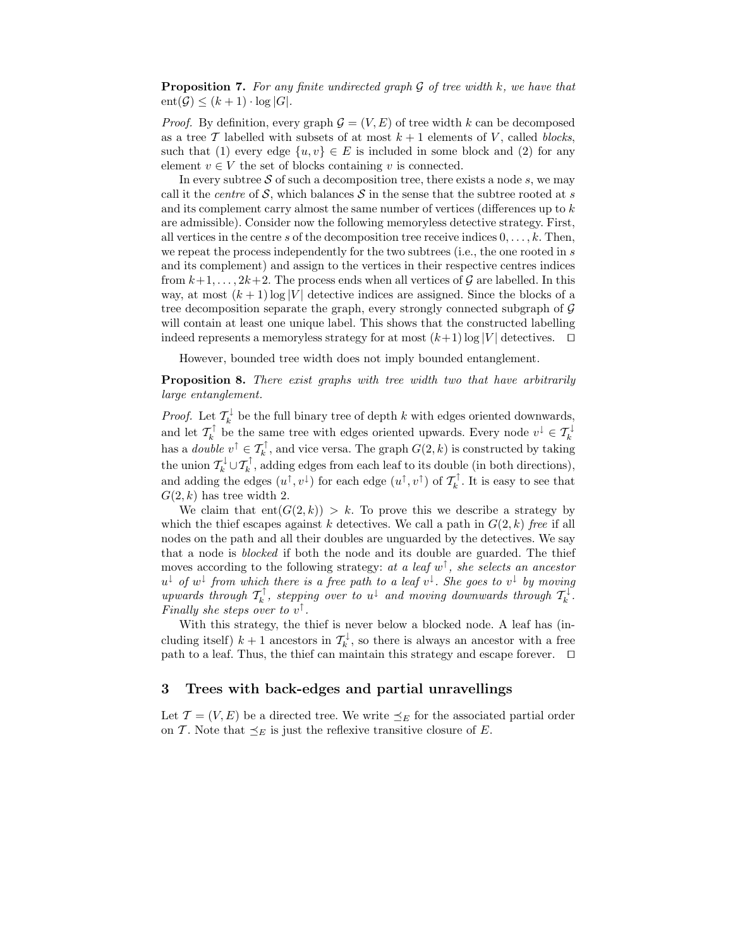**Proposition 7.** For any finite undirected graph  $\mathcal G$  of tree width k, we have that  $ent(\mathcal{G}) \leq (k+1) \cdot \log |G|.$ 

*Proof.* By definition, every graph  $\mathcal{G} = (V, E)$  of tree width k can be decomposed as a tree  $\mathcal T$  labelled with subsets of at most  $k+1$  elements of V, called blocks, such that (1) every edge  $\{u, v\} \in E$  is included in some block and (2) for any element  $v \in V$  the set of blocks containing v is connected.

In every subtree  $S$  of such a decomposition tree, there exists a node s, we may call it the *centre* of S, which balances  $S$  in the sense that the subtree rooted at s and its complement carry almost the same number of vertices (differences up to k are admissible). Consider now the following memoryless detective strategy. First, all vertices in the centre s of the decomposition tree receive indices  $0, \ldots, k$ . Then, we repeat the process independently for the two subtrees (i.e., the one rooted in s and its complement) and assign to the vertices in their respective centres indices from  $k+1, \ldots, 2k+2$ . The process ends when all vertices of G are labelled. In this way, at most  $(k + 1)$  log |V| detective indices are assigned. Since the blocks of a tree decomposition separate the graph, every strongly connected subgraph of  $\mathcal G$ will contain at least one unique label. This shows that the constructed labelling indeed represents a memoryless strategy for at most  $(k+1)$  log |V | detectives. □

However, bounded tree width does not imply bounded entanglement.

Proposition 8. There exist graphs with tree width two that have arbitrarily large entanglement.

*Proof.* Let  $\mathcal{T}_k^{\downarrow}$  be the full binary tree of depth k with edges oriented downwards, and let  $\mathcal{T}_k^{\uparrow}$  be the same tree with edges oriented upwards. Every node  $v^{\downarrow} \in \mathcal{T}_k^{\downarrow}$ has a *double*  $v^{\uparrow} \in \mathcal{T}_k^{\uparrow}$ , and vice versa. The graph  $G(2, k)$  is constructed by taking the union  $\mathcal{T}_k^{\downarrow} \cup \mathcal{T}_k^{\uparrow}$ , adding edges from each leaf to its double (in both directions), and adding the edges  $(u^{\dagger}, v^{\dagger})$  for each edge  $(u^{\dagger}, v^{\dagger})$  of  $\mathcal{T}_k^{\dagger}$ . It is easy to see that  $G(2, k)$  has tree width 2.

We claim that  $ent(G(2, k)) > k$ . To prove this we describe a strategy by which the thief escapes against k detectives. We call a path in  $G(2, k)$  free if all nodes on the path and all their doubles are unguarded by the detectives. We say that a node is blocked if both the node and its double are guarded. The thief moves according to the following strategy: at a leaf  $w^{\uparrow}$ , she selects an ancestor  $u^{\downarrow}$  of  $w^{\downarrow}$  from which there is a free path to a leaf  $v^{\downarrow}$ . She goes to  $v^{\downarrow}$  by moving upwards through  $\mathcal{T}_k^{\uparrow}$ , stepping over to  $u^{\downarrow}$  and moving downwards through  $\mathcal{T}_k^{\downarrow}$ . Finally she steps over to  $v^{\uparrow}$ .

With this strategy, the thief is never below a blocked node. A leaf has (including itself)  $k+1$  ancestors in  $\mathcal{T}_k^{\downarrow}$ , so there is always an ancestor with a free path to a leaf. Thus, the thief can maintain this strategy and escape forever. ⊓⊔

## 3 Trees with back-edges and partial unravellings

Let  $\mathcal{T} = (V, E)$  be a directed tree. We write  $\preceq_E$  for the associated partial order on T. Note that  $\preceq_E$  is just the reflexive transitive closure of E.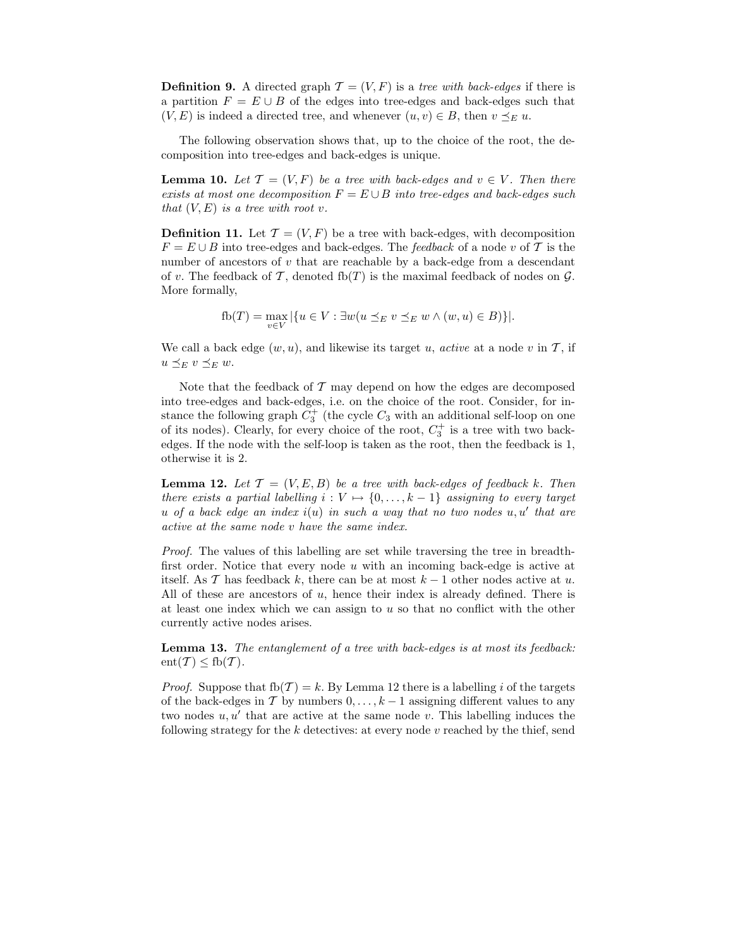**Definition 9.** A directed graph  $\mathcal{T} = (V, F)$  is a tree with back-edges if there is a partition  $F = E \cup B$  of the edges into tree-edges and back-edges such that  $(V, E)$  is indeed a directed tree, and whenever  $(u, v) \in B$ , then  $v \preceq_E u$ .

The following observation shows that, up to the choice of the root, the decomposition into tree-edges and back-edges is unique.

**Lemma 10.** Let  $\mathcal{T} = (V, F)$  be a tree with back-edges and  $v \in V$ . Then there exists at most one decomposition  $F = E \cup B$  into tree-edges and back-edges such that  $(V, E)$  is a tree with root v.

**Definition 11.** Let  $\mathcal{T} = (V, F)$  be a tree with back-edges, with decomposition  $F = E \cup B$  into tree-edges and back-edges. The *feedback* of a node v of T is the number of ancestors of v that are reachable by a back-edge from a descendant of v. The feedback of T, denoted  $\text{fb}(T)$  is the maximal feedback of nodes on  $\mathcal{G}$ . More formally,

$$
\text{fb}(T) = \max_{v \in V} |\{u \in V : \exists w (u \preceq_E v \preceq_E w \land (w, u) \in B)\}|.
$$

We call a back edge  $(w, u)$ , and likewise its target u, active at a node v in T, if  $u \preceq_E v \preceq_E w$ .

Note that the feedback of  $\mathcal T$  may depend on how the edges are decomposed into tree-edges and back-edges, i.e. on the choice of the root. Consider, for instance the following graph  $C_3^+$  (the cycle  $C_3$  with an additional self-loop on one of its nodes). Clearly, for every choice of the root,  $C_3^+$  is a tree with two backedges. If the node with the self-loop is taken as the root, then the feedback is 1, otherwise it is 2.

**Lemma 12.** Let  $\mathcal{T} = (V, E, B)$  be a tree with back-edges of feedback k. Then there exists a partial labelling  $i: V \mapsto \{0, \ldots, k-1\}$  assigning to every target  $u$  of a back edge an index  $i(u)$  in such a way that no two nodes  $u, u'$  that are active at the same node v have the same index.

Proof. The values of this labelling are set while traversing the tree in breadthfirst order. Notice that every node u with an incoming back-edge is active at itself. As T has feedback k, there can be at most  $k-1$  other nodes active at u. All of these are ancestors of u, hence their index is already defined. There is at least one index which we can assign to u so that no conflict with the other currently active nodes arises.

Lemma 13. The entanglement of a tree with back-edges is at most its feedback:  $ent(\mathcal{T}) \leq fb(\mathcal{T}).$ 

*Proof.* Suppose that  $f(x) = k$ . By Lemma 12 there is a labelling i of the targets of the back-edges in T by numbers  $0, \ldots, k-1$  assigning different values to any two nodes  $u, u'$  that are active at the same node  $v$ . This labelling induces the following strategy for the  $k$  detectives: at every node  $v$  reached by the thief, send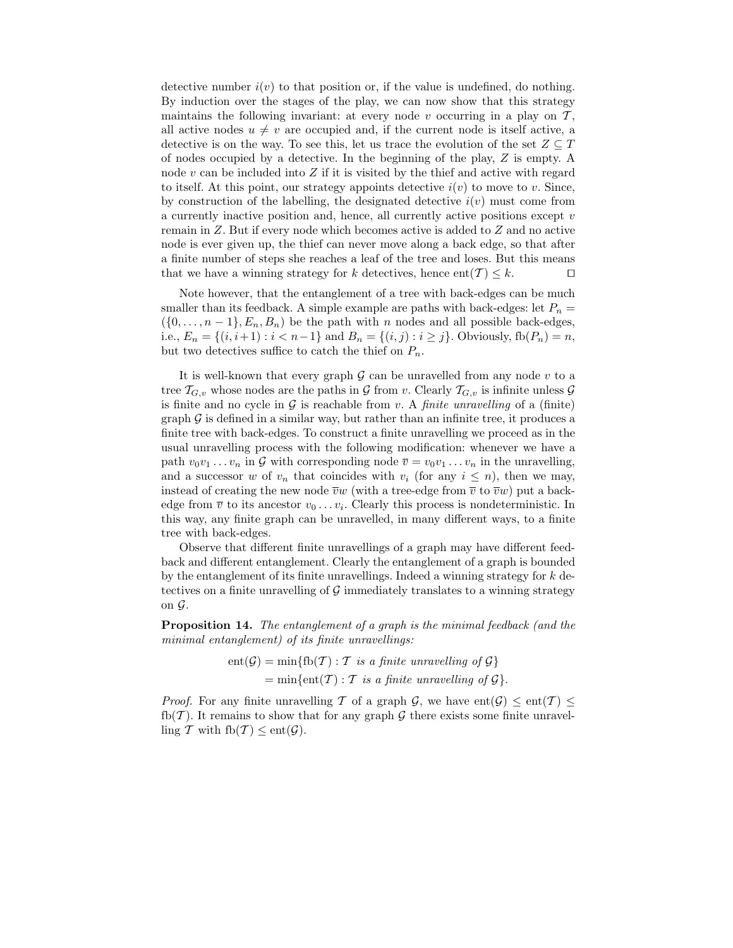detective number  $i(v)$  to that position or, if the value is undefined, do nothing. By induction over the stages of the play, we can now show that this strategy maintains the following invariant: at every node v occurring in a play on  $\mathcal{T}$ , all active nodes  $u \neq v$  are occupied and, if the current node is itself active, a detective is on the way. To see this, let us trace the evolution of the set  $Z \subseteq T$ of nodes occupied by a detective. In the beginning of the play, Z is empty. A node v can be included into  $Z$  if it is visited by the thief and active with regard to itself. At this point, our strategy appoints detective  $i(v)$  to move to v. Since, by construction of the labelling, the designated detective  $i(v)$  must come from a currently inactive position and, hence, all currently active positions except  $v$ remain in Z. But if every node which becomes active is added to Z and no active node is ever given up, the thief can never move along a back edge, so that after a finite number of steps she reaches a leaf of the tree and loses. But this means that we have a winning strategy for k detectives, hence ent $(T) \leq k$ . □

Note however, that the entanglement of a tree with back-edges can be much smaller than its feedback. A simple example are paths with back-edges: let  $P_n =$  $({0, \ldots, n-1}, E_n, B_n)$  be the path with n nodes and all possible back-edges, i.e.,  $E_n = \{(i, i+1) : i < n-1\}$  and  $B_n = \{(i, j) : i \ge j\}$ . Obviously,  $fb(P_n) = n$ , but two detectives suffice to catch the thief on  $P_n$ .

It is well-known that every graph  $\mathcal G$  can be unravelled from any node  $v$  to a tree  $T_{G,v}$  whose nodes are the paths in G from v. Clearly  $T_{G,v}$  is infinite unless G is finite and no cycle in  $G$  is reachable from v. A *finite unravelling* of a (finite)  $graph G$  is defined in a similar way, but rather than an infinite tree, it produces a finite tree with back-edges. To construct a finite unravelling we proceed as in the usual unravelling process with the following modification: whenever we have a path  $v_0v_1 \ldots v_n$  in G with corresponding node  $\overline{v} = v_0v_1 \ldots v_n$  in the unravelling, and a successor w of  $v_n$  that coincides with  $v_i$  (for any  $i \leq n$ ), then we may, instead of creating the new node  $\overline{v}w$  (with a tree-edge from  $\overline{v}$  to  $\overline{v}w$ ) put a backedge from  $\overline{v}$  to its ancestor  $v_0 \dots v_i$ . Clearly this process is nondeterministic. In this way, any finite graph can be unravelled, in many different ways, to a finite tree with back-edges.

Observe that different finite unravellings of a graph may have different feedback and different entanglement. Clearly the entanglement of a graph is bounded by the entanglement of its finite unravellings. Indeed a winning strategy for  $k$  detectives on a finite unravelling of  $\mathcal G$  immediately translates to a winning strategy on G.

Proposition 14. The entanglement of a graph is the minimal feedback (and the minimal entanglement) of its finite unravellings:

> $ent(G) = min{fb(T) : T \text{ is a finite unravelling of } G}$  $=\min\{\text{ent}(\mathcal{T}): \mathcal{T} \text{ is a finite unravelling of } \mathcal{G}\}.$

*Proof.* For any finite unravelling T of a graph G, we have  $ent(G) \le ent(T) \le$ fb(T). It remains to show that for any graph  $G$  there exists some finite unravelling T with  $\text{fb}(\mathcal{T}) \leq \text{ent}(\mathcal{G})$ .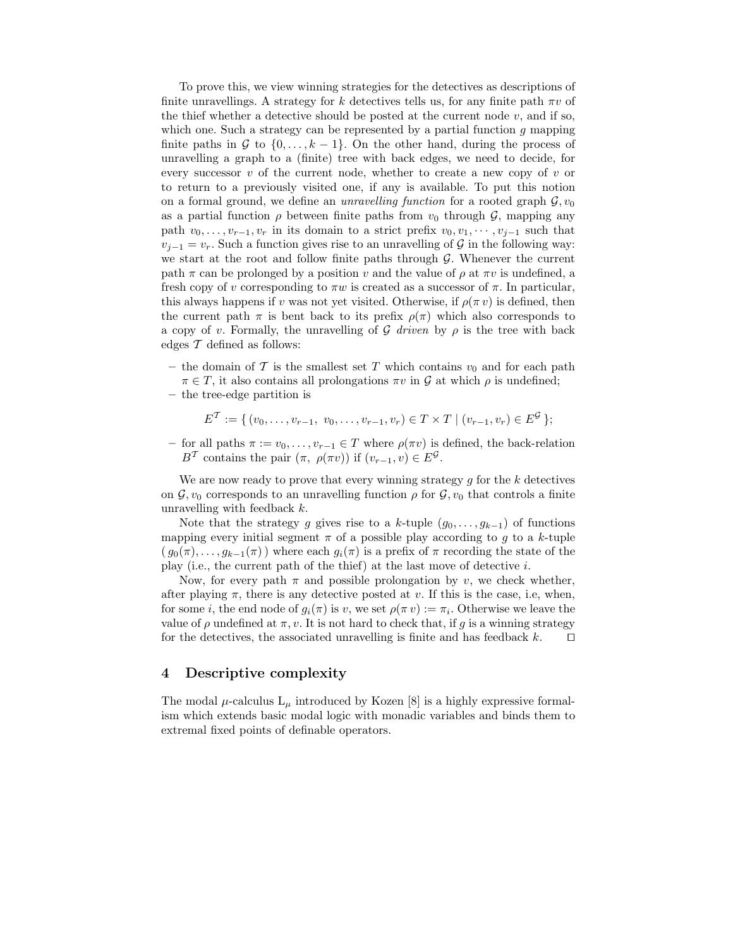To prove this, we view winning strategies for the detectives as descriptions of finite unravellings. A strategy for k detectives tells us, for any finite path  $\pi v$  of the thief whether a detective should be posted at the current node  $v$ , and if so, which one. Such a strategy can be represented by a partial function  $g$  mapping finite paths in G to  $\{0, \ldots, k-1\}$ . On the other hand, during the process of unravelling a graph to a (finite) tree with back edges, we need to decide, for every successor v of the current node, whether to create a new copy of v or to return to a previously visited one, if any is available. To put this notion on a formal ground, we define an *unravelling function* for a rooted graph  $\mathcal{G}, v_0$ as a partial function  $\rho$  between finite paths from  $v_0$  through  $\mathcal{G}$ , mapping any path  $v_0, \ldots, v_{r-1}, v_r$  in its domain to a strict prefix  $v_0, v_1, \cdots, v_{i-1}$  such that  $v_{j-1} = v_r$ . Such a function gives rise to an unravelling of G in the following way: we start at the root and follow finite paths through  $G$ . Whenever the current path  $\pi$  can be prolonged by a position v and the value of  $\rho$  at  $\pi v$  is undefined, a fresh copy of v corresponding to  $\pi w$  is created as a successor of  $\pi$ . In particular, this always happens if v was not yet visited. Otherwise, if  $\rho(\pi v)$  is defined, then the current path  $\pi$  is bent back to its prefix  $\rho(\pi)$  which also corresponds to a copy of v. Formally, the unravelling of G driven by  $\rho$  is the tree with back edges  $T$  defined as follows:

- the domain of  $T$  is the smallest set  $T$  which contains  $v_0$  and for each path  $\pi \in T$ , it also contains all prolongations  $\pi v$  in G at which  $\rho$  is undefined;
- the tree-edge partition is

$$
E^T := \{ (v_0, \ldots, v_{r-1}, v_0, \ldots, v_{r-1}, v_r) \in T \times T \mid (v_{r-1}, v_r) \in E^{\mathcal{G}} \};
$$

– for all paths  $\pi := v_0, \ldots, v_{r-1} \in T$  where  $ρ(πv)$  is defined, the back-relation  $B<sup>T</sup>$  contains the pair  $(\pi, \rho(\pi v))$  if  $(v_{r-1}, v) \in E<sup>G</sup>$ .

We are now ready to prove that every winning strategy  $g$  for the  $k$  detectives on  $\mathcal{G}, v_0$  corresponds to an unravelling function  $\rho$  for  $\mathcal{G}, v_0$  that controls a finite unravelling with feedback k.

Note that the strategy g gives rise to a k-tuple  $(g_0, \ldots, g_{k-1})$  of functions mapping every initial segment  $\pi$  of a possible play according to g to a k-tuple  $(g_0(\pi), \ldots, g_{k-1}(\pi))$  where each  $g_i(\pi)$  is a prefix of  $\pi$  recording the state of the play (i.e., the current path of the thief) at the last move of detective i.

Now, for every path  $\pi$  and possible prolongation by v, we check whether, after playing  $\pi$ , there is any detective posted at v. If this is the case, i.e, when, for some *i*, the end node of  $g_i(\pi)$  is v, we set  $\rho(\pi v) := \pi_i$ . Otherwise we leave the value of  $\rho$  undefined at  $\pi, v$ . It is not hard to check that, if g is a winning strategy for the detectives, the associated unravelling is finite and has feedback  $k$ . □

## 4 Descriptive complexity

The modal  $\mu$ -calculus  $L_{\mu}$  introduced by Kozen [8] is a highly expressive formalism which extends basic modal logic with monadic variables and binds them to extremal fixed points of definable operators.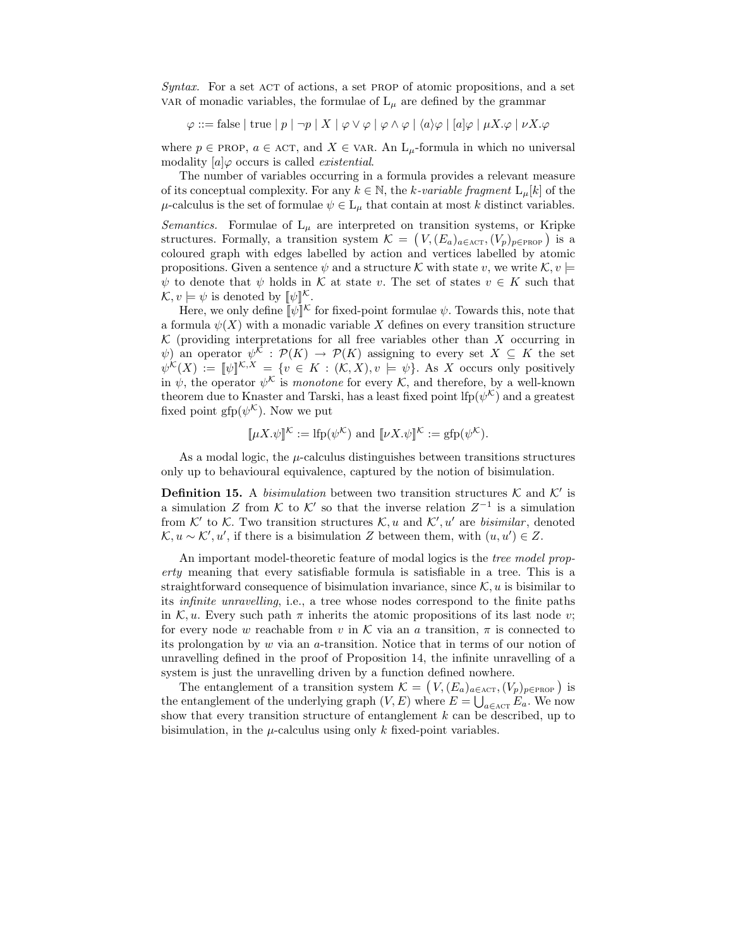Syntax. For a set act of actions, a set prop of atomic propositions, and a set VAR of monadic variables, the formulae of  $L<sub>\mu</sub>$  are defined by the grammar

 $\varphi ::=$  false | true  $|p| \neg p | X | \varphi \vee \varphi | \varphi \wedge \varphi | \langle a \rangle \varphi | [a] \varphi | \mu X. \varphi | \nu X. \varphi$ 

where  $p \in \text{PROP}, a \in \text{ACT}, \text{ and } X \in \text{VAR}.$  An  $L_{\mu}$ -formula in which no universal modality  $[a]\varphi$  occurs is called *existential*.

The number of variables occurring in a formula provides a relevant measure of its conceptual complexity. For any  $k \in \mathbb{N}$ , the k-variable fragment  $L_{\mu}[k]$  of the  $\mu$ -calculus is the set of formulae  $\psi \in L_{\mu}$  that contain at most k distinct variables.

Semantics. Formulae of  $L_{\mu}$  are interpreted on transition systems, or Kripke structures. Formally, a transition system  $\mathcal{K} = (V, (E_a)_{a \in \text{ACT}}, (V_p)_{p \in \text{PROP}})$  is a coloured graph with edges labelled by action and vertices labelled by atomic propositions. Given a sentence  $\psi$  and a structure K with state v, we write  $\mathcal{K}, v \models$  $\psi$  to denote that  $\psi$  holds in K at state v. The set of states  $v \in K$  such that  $\mathcal{K}, v \models \psi$  is denoted by  $[\![\psi]\!]^{\mathcal{K}}$ .

Here, we only define  $[\![\psi]\!]^{\mathcal{K}}$  for fixed-point formulae  $\psi$ . Towards this, note that a formula  $\psi(X)$  with a monadic variable X defines on every transition structure  $K$  (providing interpretations for all free variables other than  $X$  occurring in  $\psi$ ) an operator  $\psi^{\mathcal{K}} : \mathcal{P}(K) \to \mathcal{P}(K)$  assigning to every set  $X \subseteq K$  the set  $\psi^{\mathcal{K}}(X) := \llbracket \psi \rrbracket^{\mathcal{K},X} = \{ v \in K : (\mathcal{K},X), v \models \psi \}.$  As X occurs only positively in  $\psi$ , the operator  $\psi^{\mathcal{K}}$  is *monotone* for every  $\mathcal{K}$ , and therefore, by a well-known theorem due to Knaster and Tarski, has a least fixed point  $\text{Ifp}(\psi^{\mathcal{K}})$  and a greatest fixed point gfp $(\psi^{\mathcal{K}})$ . Now we put

$$
[\![\mu X.\psi]\!]^{\mathcal{K}} := \text{lfp}(\psi^{\mathcal{K}}) \text{ and } [\![\nu X.\psi]\!]^{\mathcal{K}} := \text{gfp}(\psi^{\mathcal{K}}).
$$

As a modal logic, the  $\mu$ -calculus distinguishes between transitions structures only up to behavioural equivalence, captured by the notion of bisimulation.

**Definition 15.** A *bisimulation* between two transition structures  $\mathcal{K}$  and  $\mathcal{K}'$  is a simulation Z from K to K' so that the inverse relation  $Z^{-1}$  is a simulation from  $K'$  to  $K$ . Two transition structures  $K, u$  and  $K', u'$  are *bisimilar*, denoted  $\mathcal{K}, u \sim \mathcal{K}', u'$ , if there is a bisimulation Z between them, with  $(u, u') \in Z$ .

An important model-theoretic feature of modal logics is the tree model property meaning that every satisfiable formula is satisfiable in a tree. This is a straightforward consequence of bisimulation invariance, since  $K, u$  is bisimilar to its infinite unravelling, i.e., a tree whose nodes correspond to the finite paths in K, u. Every such path  $\pi$  inherits the atomic propositions of its last node v; for every node w reachable from v in K via an a transition,  $\pi$  is connected to its prolongation by w via an a-transition. Notice that in terms of our notion of unravelling defined in the proof of Proposition 14, the infinite unravelling of a system is just the unravelling driven by a function defined nowhere.

The entanglement of a transition system  $\mathcal{K} = (V, (E_a)_{a \in \text{ACT}}, (V_p)_{p \in \text{PROP}})$  is the entanglement of the underlying graph  $(V, E)$  where  $E = \bigcup_{a \in \text{ACT}} E_a$ . We now show that every transition structure of entanglement  $k$  can be described, up to bisimulation, in the  $\mu$ -calculus using only k fixed-point variables.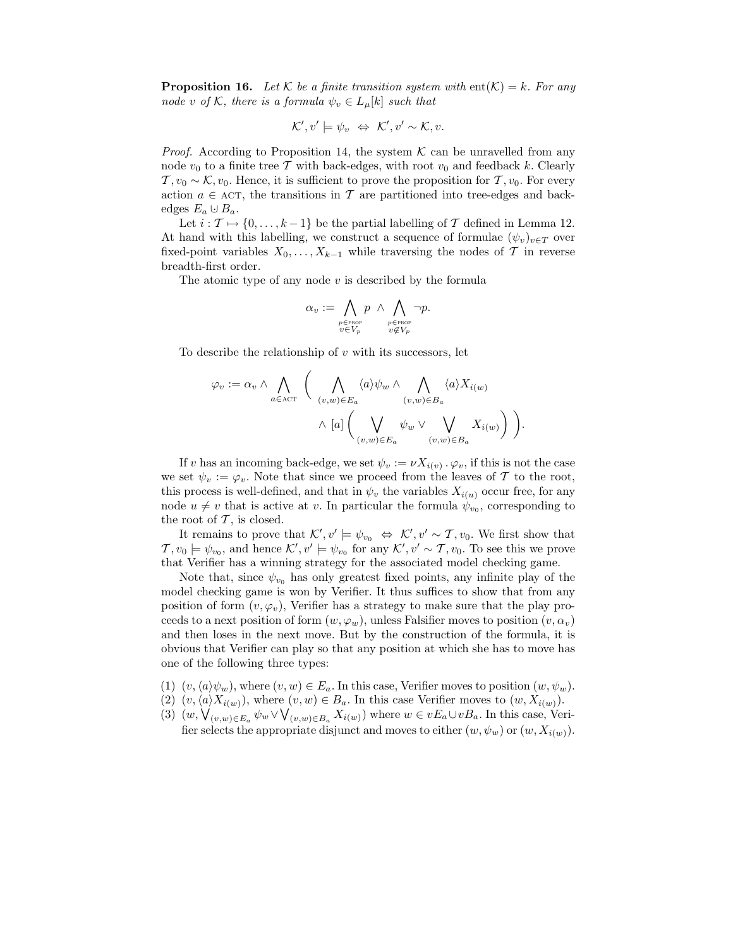**Proposition 16.** Let K be a finite transition system with  $ent(K) = k$ . For any node v of K, there is a formula  $\psi_v \in L_{\mu}[k]$  such that

$$
\mathcal{K}', v' \models \psi_v \Leftrightarrow \mathcal{K}', v' \sim \mathcal{K}, v.
$$

*Proof.* According to Proposition 14, the system  $K$  can be unravelled from any node  $v_0$  to a finite tree T with back-edges, with root  $v_0$  and feedback k. Clearly  $\mathcal{T}, v_0 \sim \mathcal{K}, v_0$ . Hence, it is sufficient to prove the proposition for  $\mathcal{T}, v_0$ . For every action  $a \in \text{ACT}$ , the transitions in T are partitioned into tree-edges and backedges  $E_a \cup B_a$ .

Let  $i : \mathcal{T} \mapsto \{0, \ldots, k-1\}$  be the partial labelling of  $\mathcal{T}$  defined in Lemma 12. At hand with this labelling, we construct a sequence of formulae  $(\psi_v)_{v \in T}$  over fixed-point variables  $X_0, \ldots, X_{k-1}$  while traversing the nodes of T in reverse breadth-first order.

The atomic type of any node  $v$  is described by the formula

$$
\alpha_v:=\bigwedge_{\stackrel{p\in\text{PROP}}{v\in V_p}}p\;\wedge\bigwedge_{\stackrel{p\in\text{PROP}}{v\not\in V_p}}\neg p.
$$

To describe the relationship of  $v$  with its successors, let

$$
\varphi_v := \alpha_v \wedge \bigwedge_{a \in \text{ACT}} \Big( \bigwedge_{(v,w) \in E_a} \langle a \rangle \psi_w \wedge \bigwedge_{(v,w) \in B_a} \langle a \rangle X_{i(w)}
$$

$$
\wedge [a] \Big( \bigvee_{(v,w) \in E_a} \psi_w \vee \bigvee_{(v,w) \in B_a} X_{i(w)} \Big) \Big).
$$

If v has an incoming back-edge, we set  $\psi_v := \nu X_{i(v)}$ .  $\varphi_v$ , if this is not the case we set  $\psi_v := \varphi_v$ . Note that since we proceed from the leaves of T to the root, this process is well-defined, and that in  $\psi_v$  the variables  $X_{i(u)}$  occur free, for any node  $u \neq v$  that is active at v. In particular the formula  $\psi_{v_0}$ , corresponding to the root of  $\mathcal T$ , is closed.

It remains to prove that  $\mathcal{K}', v' \models \psi_{v_0} \Leftrightarrow \mathcal{K}', v' \sim \mathcal{T}, v_0$ . We first show that  $\mathcal{T}, v_0 \models \psi_{v_0}$ , and hence  $\mathcal{K}', v' \models \psi_{v_0}$  for any  $\mathcal{K}', v' \sim \mathcal{T}, v_0$ . To see this we prove that Verifier has a winning strategy for the associated model checking game.

Note that, since  $\psi_{v_0}$  has only greatest fixed points, any infinite play of the model checking game is won by Verifier. It thus suffices to show that from any position of form  $(v, \varphi_v)$ , Verifier has a strategy to make sure that the play proceeds to a next position of form  $(w, \varphi_w)$ , unless Falsifier moves to position  $(v, \alpha_v)$ and then loses in the next move. But by the construction of the formula, it is obvious that Verifier can play so that any position at which she has to move has one of the following three types:

- (1)  $(v, \langle a \rangle \psi_w)$ , where  $(v, w) \in E_a$ . In this case, Verifier moves to position  $(w, \psi_w)$ .
- (2)  $(v, \langle a \rangle X_{i(w)})$ , where  $(v, w) \in B_a$ . In this case Verifier moves to  $(w, X_{i(w)})$ .
- (3)  $(w, \bigvee_{(v,w)\in E_a} \psi_w \vee \bigvee_{(v,w)\in B_a} X_{i(w)})$  where  $w \in vE_a \cup vB_a$ . In this case, Verifier selects the appropriate disjunct and moves to either  $(w, \psi_w)$  or  $(w, X_{i(w)})$ .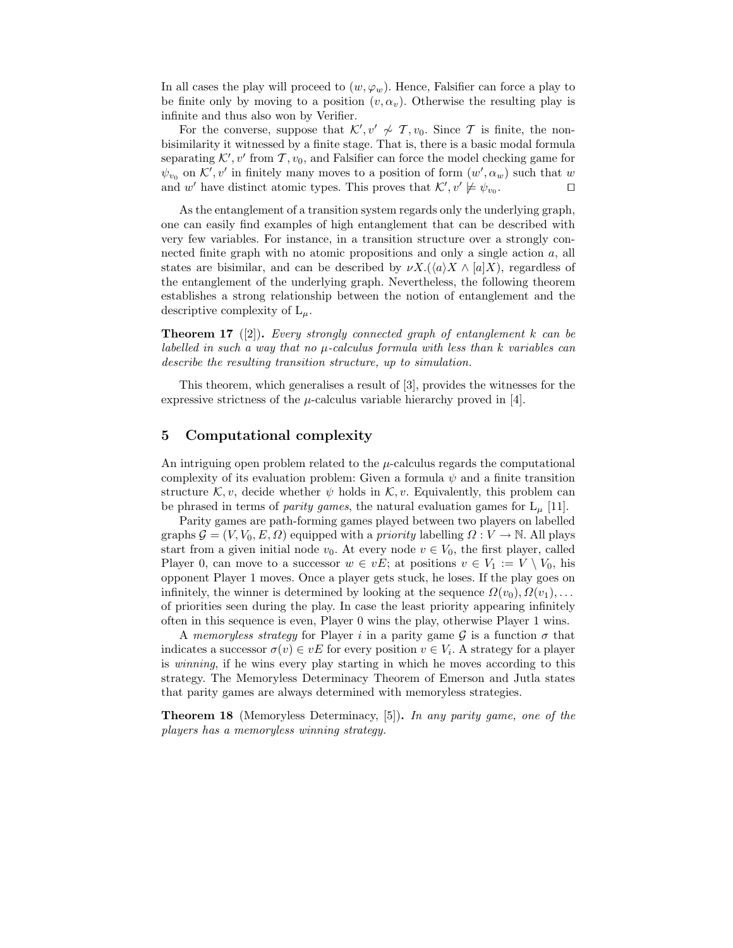In all cases the play will proceed to  $(w, \varphi_w)$ . Hence, Falsifier can force a play to be finite only by moving to a position  $(v, \alpha_v)$ . Otherwise the resulting play is infinite and thus also won by Verifier.

For the converse, suppose that  $\mathcal{K}'$ ,  $v' \nsim \mathcal{T}$ ,  $v_0$ . Since  $\mathcal{T}$  is finite, the nonbisimilarity it witnessed by a finite stage. That is, there is a basic modal formula separating  $K'$ , v' from  $\mathcal{T}, v_0$ , and Falsifier can force the model checking game for  $\psi_{v_0}$  on K', v' in finitely many moves to a position of form  $(w', \alpha_w)$  such that w and w' have distinct atomic types. This proves that  $\mathcal{K}'$ ,  $v' \not\models \psi_{v_0}$  $□$ 

As the entanglement of a transition system regards only the underlying graph, one can easily find examples of high entanglement that can be described with very few variables. For instance, in a transition structure over a strongly connected finite graph with no atomic propositions and only a single action a, all states are bisimilar, and can be described by  $\nu X.(\langle a \rangle X \wedge [a]X)$ , regardless of the entanglement of the underlying graph. Nevertheless, the following theorem establishes a strong relationship between the notion of entanglement and the descriptive complexity of  $L_{\mu}$ .

**Theorem 17** ([2]). Every strongly connected graph of entanglement  $k$  can be labelled in such a way that no  $\mu$ -calculus formula with less than k variables can describe the resulting transition structure, up to simulation.

This theorem, which generalises a result of [3], provides the witnesses for the expressive strictness of the  $\mu$ -calculus variable hierarchy proved in [4].

## 5 Computational complexity

An intriguing open problem related to the  $\mu$ -calculus regards the computational complexity of its evaluation problem: Given a formula  $\psi$  and a finite transition structure  $\mathcal{K}, v$ , decide whether  $\psi$  holds in  $\mathcal{K}, v$ . Equivalently, this problem can be phrased in terms of *parity games*, the natural evaluation games for  $L_{\mu}$  [11].

Parity games are path-forming games played between two players on labelled graphs  $\mathcal{G} = (V, V_0, E, \Omega)$  equipped with a *priority* labelling  $\Omega : V \to \mathbb{N}$ . All plays start from a given initial node  $v_0$ . At every node  $v \in V_0$ , the first player, called Player 0, can move to a successor  $w \in vE$ ; at positions  $v \in V_1 := V \setminus V_0$ , his opponent Player 1 moves. Once a player gets stuck, he loses. If the play goes on infinitely, the winner is determined by looking at the sequence  $\Omega(v_0), \Omega(v_1), \ldots$ of priorities seen during the play. In case the least priority appearing infinitely often in this sequence is even, Player 0 wins the play, otherwise Player 1 wins.

A memoryless strategy for Player i in a parity game G is a function  $\sigma$  that indicates a successor  $\sigma(v) \in vE$  for every position  $v \in V_i$ . A strategy for a player is winning, if he wins every play starting in which he moves according to this strategy. The Memoryless Determinacy Theorem of Emerson and Jutla states that parity games are always determined with memoryless strategies.

Theorem 18 (Memoryless Determinacy, [5]). In any parity game, one of the players has a memoryless winning strategy.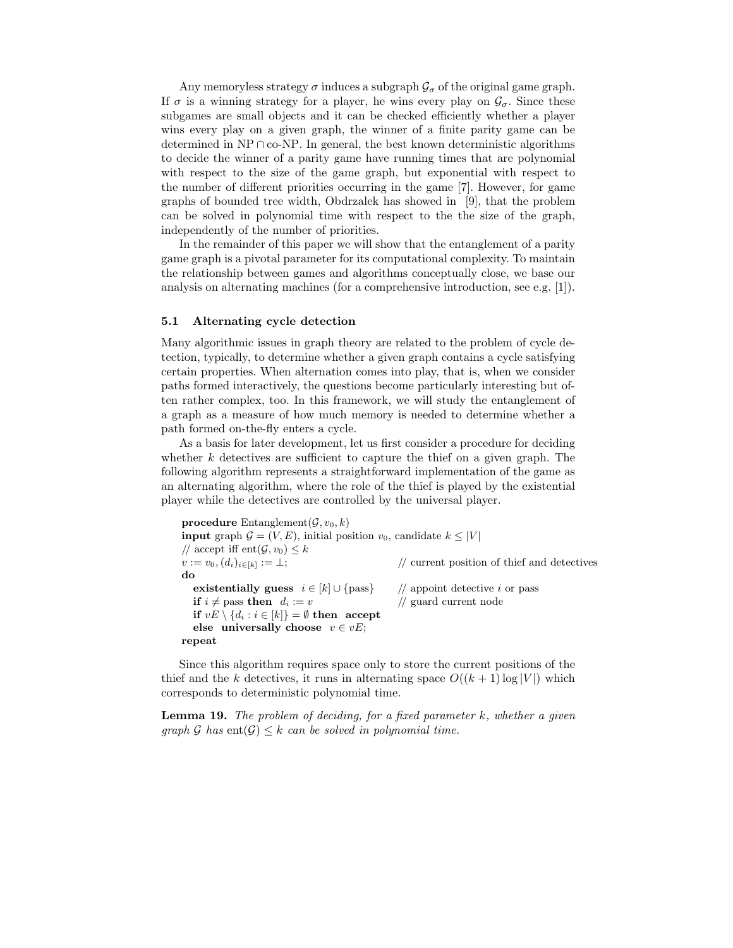Any memoryless strategy  $\sigma$  induces a subgraph  $\mathcal{G}_{\sigma}$  of the original game graph. If  $\sigma$  is a winning strategy for a player, he wins every play on  $\mathcal{G}_{\sigma}$ . Since these subgames are small objects and it can be checked efficiently whether a player wins every play on a given graph, the winner of a finite parity game can be determined in NP ∩ co-NP. In general, the best known deterministic algorithms to decide the winner of a parity game have running times that are polynomial with respect to the size of the game graph, but exponential with respect to the number of different priorities occurring in the game [7]. However, for game graphs of bounded tree width, Obdrzalek has showed in [9], that the problem can be solved in polynomial time with respect to the the size of the graph, independently of the number of priorities.

In the remainder of this paper we will show that the entanglement of a parity game graph is a pivotal parameter for its computational complexity. To maintain the relationship between games and algorithms conceptually close, we base our analysis on alternating machines (for a comprehensive introduction, see e.g. [1]).

#### 5.1 Alternating cycle detection

Many algorithmic issues in graph theory are related to the problem of cycle detection, typically, to determine whether a given graph contains a cycle satisfying certain properties. When alternation comes into play, that is, when we consider paths formed interactively, the questions become particularly interesting but often rather complex, too. In this framework, we will study the entanglement of a graph as a measure of how much memory is needed to determine whether a path formed on-the-fly enters a cycle.

As a basis for later development, let us first consider a procedure for deciding whether  $k$  detectives are sufficient to capture the thief on a given graph. The following algorithm represents a straightforward implementation of the game as an alternating algorithm, where the role of the thief is played by the existential player while the detectives are controlled by the universal player.

```
procedure Entanglement(\mathcal{G}, v_0, k)input graph \mathcal{G} = (V, E), initial position v_0, candidate k \leq |V|// accept iff ent(G, v_0) \leq kv := v_0, (d_i)_{i \in [k]} := \perp;\frac{1}{2} current position of thief and detectives
do
  existentially guess i \in [k] \cup \{pass\} // appoint detective i or pass
  if i \neq pass then d_i := v // guard current node
  if vE \setminus \{d_i : i \in [k]\} = \emptyset then accept
  else universally choose v \in vE;
repeat
```
Since this algorithm requires space only to store the current positions of the thief and the k detectives, it runs in alternating space  $O((k+1) \log |V|)$  which corresponds to deterministic polynomial time.

**Lemma 19.** The problem of deciding, for a fixed parameter  $k$ , whether a given graph G has  $ent(G) \leq k$  can be solved in polynomial time.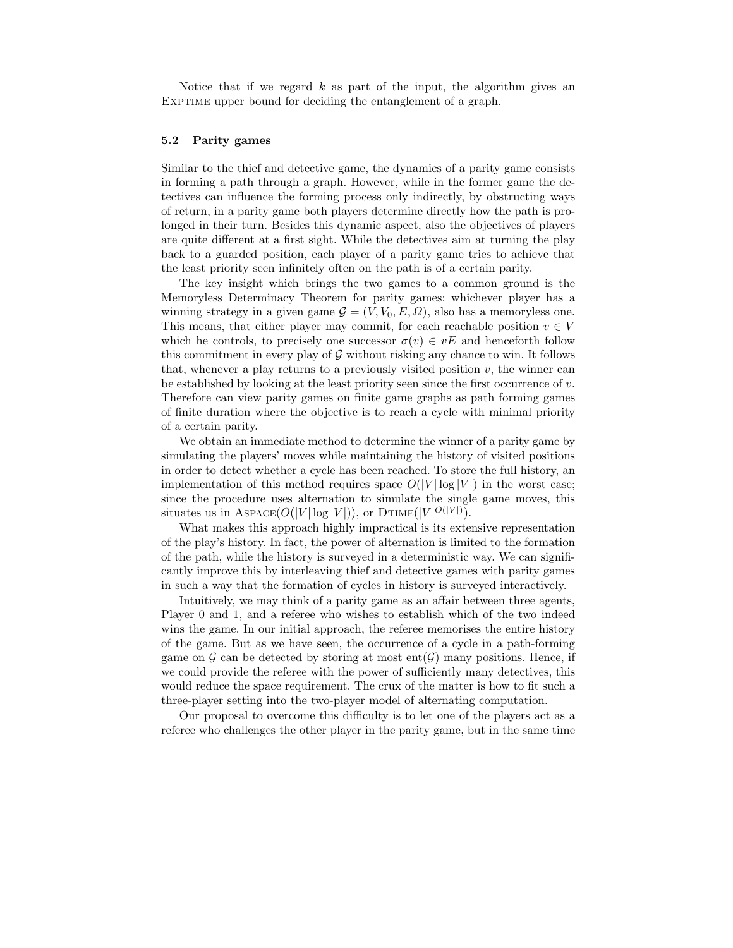Notice that if we regard  $k$  as part of the input, the algorithm gives an EXPTIME upper bound for deciding the entanglement of a graph.

#### 5.2 Parity games

Similar to the thief and detective game, the dynamics of a parity game consists in forming a path through a graph. However, while in the former game the detectives can influence the forming process only indirectly, by obstructing ways of return, in a parity game both players determine directly how the path is prolonged in their turn. Besides this dynamic aspect, also the objectives of players are quite different at a first sight. While the detectives aim at turning the play back to a guarded position, each player of a parity game tries to achieve that the least priority seen infinitely often on the path is of a certain parity.

The key insight which brings the two games to a common ground is the Memoryless Determinacy Theorem for parity games: whichever player has a winning strategy in a given game  $\mathcal{G} = (V, V_0, E, \Omega)$ , also has a memoryless one. This means, that either player may commit, for each reachable position  $v \in V$ which he controls, to precisely one successor  $\sigma(v) \in vE$  and henceforth follow this commitment in every play of  $G$  without risking any chance to win. It follows that, whenever a play returns to a previously visited position  $v$ , the winner can be established by looking at the least priority seen since the first occurrence of  $v$ . Therefore can view parity games on finite game graphs as path forming games of finite duration where the objective is to reach a cycle with minimal priority of a certain parity.

We obtain an immediate method to determine the winner of a parity game by simulating the players' moves while maintaining the history of visited positions in order to detect whether a cycle has been reached. To store the full history, an implementation of this method requires space  $O(|V| \log |V|)$  in the worst case; since the procedure uses alternation to simulate the single game moves, this situates us in ASPACE $(O(|V|\log |V|)),$  or  $DTIME(|V|^{O(|V|)}).$ 

What makes this approach highly impractical is its extensive representation of the play's history. In fact, the power of alternation is limited to the formation of the path, while the history is surveyed in a deterministic way. We can significantly improve this by interleaving thief and detective games with parity games in such a way that the formation of cycles in history is surveyed interactively.

Intuitively, we may think of a parity game as an affair between three agents, Player 0 and 1, and a referee who wishes to establish which of the two indeed wins the game. In our initial approach, the referee memorises the entire history of the game. But as we have seen, the occurrence of a cycle in a path-forming game on G can be detected by storing at most  $ent(G)$  many positions. Hence, if we could provide the referee with the power of sufficiently many detectives, this would reduce the space requirement. The crux of the matter is how to fit such a three-player setting into the two-player model of alternating computation.

Our proposal to overcome this difficulty is to let one of the players act as a referee who challenges the other player in the parity game, but in the same time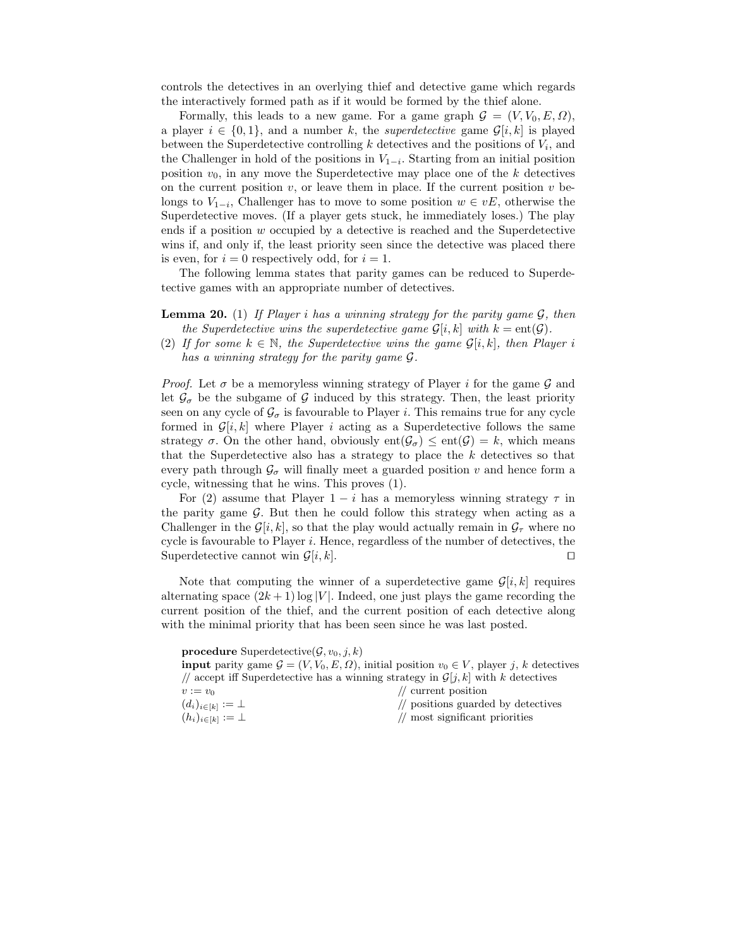controls the detectives in an overlying thief and detective game which regards the interactively formed path as if it would be formed by the thief alone.

Formally, this leads to a new game. For a game graph  $\mathcal{G} = (V, V_0, E, \Omega)$ , a player  $i \in \{0,1\}$ , and a number k, the *superdetective* game  $\mathcal{G}[i,k]$  is played between the Superdetective controlling  $k$  detectives and the positions of  $V_i$ , and the Challenger in hold of the positions in  $V_{1-i}$ . Starting from an initial position position  $v_0$ , in any move the Superdetective may place one of the k detectives on the current position  $v$ , or leave them in place. If the current position  $v$  belongs to  $V_{1-i}$ , Challenger has to move to some position  $w \in vE$ , otherwise the Superdetective moves. (If a player gets stuck, he immediately loses.) The play ends if a position w occupied by a detective is reached and the Superdetective wins if, and only if, the least priority seen since the detective was placed there is even, for  $i = 0$  respectively odd, for  $i = 1$ .

The following lemma states that parity games can be reduced to Superdetective games with an appropriate number of detectives.

**Lemma 20.** (1) If Player i has a winning strategy for the parity game  $\mathcal{G}$ , then the Superdetective wins the superdetective game  $\mathcal{G}[i, k]$  with  $k = \text{ent}(\mathcal{G})$ .

(2) If for some  $k \in \mathbb{N}$ , the Superdetective wins the game  $\mathcal{G}[i, k]$ , then Player i has a winning strategy for the parity game G.

*Proof.* Let  $\sigma$  be a memoryless winning strategy of Player i for the game G and let  $\mathcal{G}_{\sigma}$  be the subgame of G induced by this strategy. Then, the least priority seen on any cycle of  $\mathcal{G}_{\sigma}$  is favourable to Player *i*. This remains true for any cycle formed in  $G[i, k]$  where Player i acting as a Superdetective follows the same strategy  $\sigma$ . On the other hand, obviously ent $(\mathcal{G}_{\sigma}) \leq \text{ent}(\mathcal{G}) = k$ , which means that the Superdetective also has a strategy to place the  $k$  detectives so that every path through  $\mathcal{G}_{\sigma}$  will finally meet a guarded position v and hence form a cycle, witnessing that he wins. This proves (1).

For (2) assume that Player  $1-i$  has a memoryless winning strategy  $\tau$  in the parity game  $G$ . But then he could follow this strategy when acting as a Challenger in the  $\mathcal{G}[i, k]$ , so that the play would actually remain in  $\mathcal{G}_{\tau}$  where no cycle is favourable to Player  $i$ . Hence, regardless of the number of detectives, the Superdetective cannot win  $G[i, k]$ . □

Note that computing the winner of a superdetective game  $G[i, k]$  requires alternating space  $(2k+1)$  log |V|. Indeed, one just plays the game recording the current position of the thief, and the current position of each detective along with the minimal priority that has been seen since he was last posted.

**procedure** Superdetective $(\mathcal{G}, v_0, j, k)$ 

**input** parity game  $G = (V, V_0, E, \Omega)$ , initial position  $v_0 \in V$ , player j, k detectives // accept iff Superdetective has a winning strategy in  $\mathcal{G}[j,k]$  with k detectives  $v := v_0$  // current position  $(d_i)_{i\in[k]}:=\bot$  $//$  positions guarded by detectives

 $(h_i)_{i\in[k]}:=\perp$  $//$  most significant priorities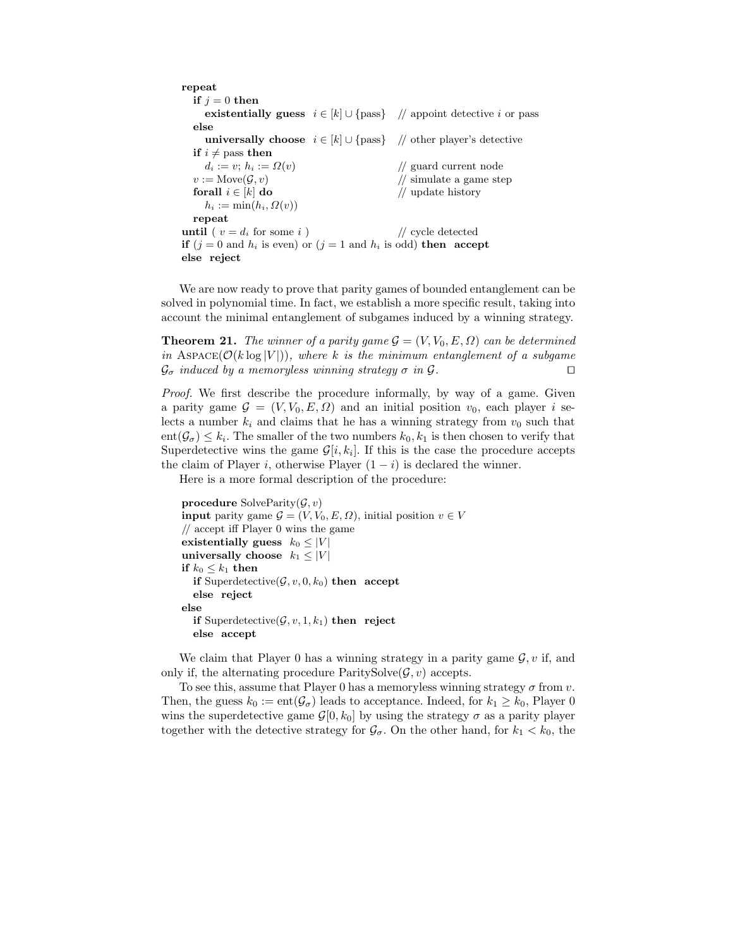```
repeat
  if j = 0 then
    existentially guess i \in [k] \cup \{pass\} // appoint detective i or pass
  else
    universally choose i \in [k] \cup \{ \text{pass} \} // other player's detective
  if i \neq pass then
    d_i := v; h_i := \Omega(v) // guard current node
  v := \text{Move}(\mathcal{G}, v) // simulate a game step
  forall i \in [k] do // update history
    h_i := \min(h_i, \Omega(v))repeat
until (v = d_i for some i) // cycle detected
if (j = 0 and h_i is even) or (j = 1 and h_i is odd) then accept
else reject
```
We are now ready to prove that parity games of bounded entanglement can be solved in polynomial time. In fact, we establish a more specific result, taking into account the minimal entanglement of subgames induced by a winning strategy.

**Theorem 21.** The winner of a parity game  $\mathcal{G} = (V, V_0, E, \Omega)$  can be determined in ASPACE( $\mathcal{O}(k \log |V|)$ ), where k is the minimum entanglement of a subgame  $\mathcal{G}_{\sigma}$  induced by a memoryless winning strategy  $\sigma$  in  $\mathcal{G}$ . □

Proof. We first describe the procedure informally, by way of a game. Given a parity game  $G = (V, V_0, E, \Omega)$  and an initial position  $v_0$ , each player i selects a number  $k_i$  and claims that he has a winning strategy from  $v_0$  such that  $ent(\mathcal{G}_{\sigma}) \leq k_i$ . The smaller of the two numbers  $k_0, k_1$  is then chosen to verify that Superdetective wins the game  $\mathcal{G}[i, k_i]$ . If this is the case the procedure accepts the claim of Player i, otherwise Player  $(1 - i)$  is declared the winner.

Here is a more formal description of the procedure:

```
procedure SolveParity(G, v)input parity game \mathcal{G} = (V, V_0, E, \Omega), initial position v \in V// accept iff Player 0 wins the game
existentially guess k_0 \leq |V|universally choose k_1 \leq |V|if k_0 \leq k_1 then
  if Superdetective(\mathcal{G}, v, 0, k_0) then accept
  else reject
else
  if Superdetective(\mathcal{G}, v, 1, k_1) then reject
  else accept
```
We claim that Player 0 has a winning strategy in a parity game  $\mathcal{G}, v$  if, and only if, the alternating procedure  $ParitySolve(\mathcal{G}, v)$  accepts.

To see this, assume that Player 0 has a memoryless winning strategy  $\sigma$  from v. Then, the guess  $k_0 := \text{ent}(\mathcal{G}_{\sigma})$  leads to acceptance. Indeed, for  $k_1 \geq k_0$ , Player 0 wins the superdetective game  $\mathcal{G}[0, k_0]$  by using the strategy  $\sigma$  as a parity player together with the detective strategy for  $\mathcal{G}_{\sigma}$ . On the other hand, for  $k_1 < k_0$ , the